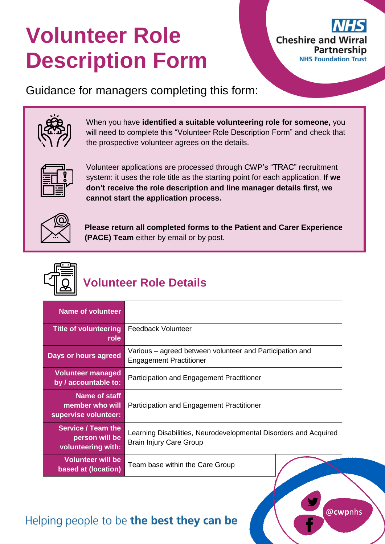# **Volunteer Role Description Form**



Guidance for managers completing this form:



When you have **identified a suitable volunteering role for someone,** you will need to complete this "Volunteer Role Description Form" and check that the prospective volunteer agrees on the details.



Volunteer applications are processed through CWP's "TRAC" recruitment system: it uses the role title as the starting point for each application. **If we don't receive the role description and line manager details first, we cannot start the application process.**



**Please return all completed forms to the Patient and Carer Experience (PACE) Team** either by email or by post.



## **Volunteer Role Details**

| <b>Name of volunteer</b>                                          |                                                                                                    |
|-------------------------------------------------------------------|----------------------------------------------------------------------------------------------------|
| <b>Title of volunteering</b><br>role                              | <b>Feedback Volunteer</b>                                                                          |
| Days or hours agreed                                              | Various – agreed between volunteer and Participation and<br><b>Engagement Practitioner</b>         |
| <b>Volunteer managed</b><br>by / accountable to:                  | Participation and Engagement Practitioner                                                          |
| Name of staff<br>member who will<br>supervise volunteer:          | Participation and Engagement Practitioner                                                          |
| <b>Service / Team the</b><br>person will be<br>volunteering with: | Learning Disabilities, Neurodevelopmental Disorders and Acquired<br><b>Brain Injury Care Group</b> |
| <b>Volunteer will be</b><br>based at (location)                   | Team base within the Care Group                                                                    |

## Helping people to be the best they can be

@**cwp**nhs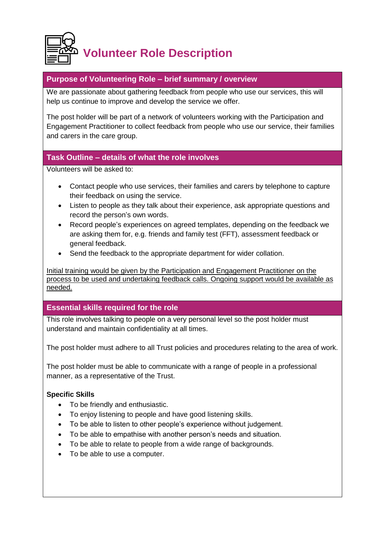

#### **Purpose of Volunteering Role – brief summary / overview**

We are passionate about gathering feedback from people who use our services, this will help us continue to improve and develop the service we offer.

The post holder will be part of a network of volunteers working with the Participation and Engagement Practitioner to collect feedback from people who use our service, their families and carers in the care group.

#### **Task Outline – details of what the role involves**

Volunteers will be asked to:

- Contact people who use services, their families and carers by telephone to capture their feedback on using the service.
- Listen to people as they talk about their experience, ask appropriate questions and record the person's own words.
- Record people's experiences on agreed templates, depending on the feedback we are asking them for, e.g. friends and family test (FFT), assessment feedback or general feedback.
- Send the feedback to the appropriate department for wider collation.

Initial training would be given by the Participation and Engagement Practitioner on the process to be used and undertaking feedback calls. Ongoing support would be available as needed.

#### **Essential skills required for the role**

This role involves talking to people on a very personal level so the post holder must understand and maintain confidentiality at all times.

The post holder must adhere to all Trust policies and procedures relating to the area of work.

The post holder must be able to communicate with a range of people in a professional manner, as a representative of the Trust.

#### **Specific Skills**

- To be friendly and enthusiastic.
- To enjoy listening to people and have good listening skills.
- To be able to listen to other people's experience without judgement.
- To be able to empathise with another person's needs and situation.
- To be able to relate to people from a wide range of backgrounds.
- To be able to use a computer.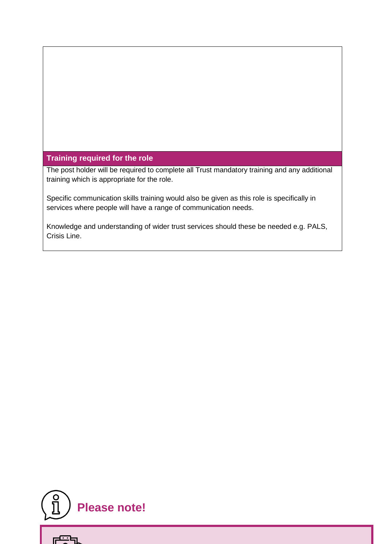#### **Training required for the role**

The post holder will be required to complete all Trust mandatory training and any additional training which is appropriate for the role.

Specific communication skills training would also be given as this role is specifically in services where people will have a range of communication needs.

Knowledge and understanding of wider trust services should these be needed e.g. PALS, Crisis Line.



ल्<u>स्ट</u>म